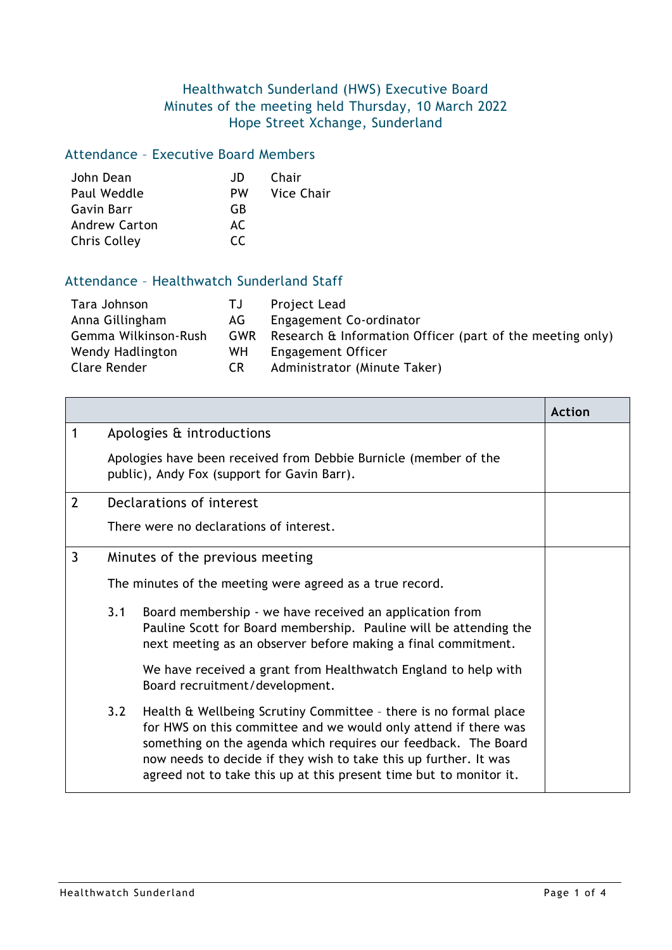## Healthwatch Sunderland (HWS) Executive Board Minutes of the meeting held Thursday, 10 March 2022 Hope Street Xchange, Sunderland

## Attendance – Executive Board Members

| John Dean            | JD.       | Chair      |
|----------------------|-----------|------------|
| Paul Weddle          | <b>PW</b> | Vice Chair |
| Gavin Barr           | GB        |            |
| <b>Andrew Carton</b> | AC.       |            |
| Chris Colley         | CC.       |            |

## Attendance – Healthwatch Sunderland Staff

| Tara Johnson         | TJ. | Project Lead                                              |
|----------------------|-----|-----------------------------------------------------------|
| Anna Gillingham      | AG. | Engagement Co-ordinator                                   |
| Gemma Wilkinson-Rush | GWR | Research & Information Officer (part of the meeting only) |
| Wendy Hadlington     | WH. | Engagement Officer                                        |
| Clare Render         | CR. | Administrator (Minute Taker)                              |

|                |                                                          |                                                                                                                                                                                                                                                                                                                                                 | Action |
|----------------|----------------------------------------------------------|-------------------------------------------------------------------------------------------------------------------------------------------------------------------------------------------------------------------------------------------------------------------------------------------------------------------------------------------------|--------|
| $\mathbf 1$    |                                                          | Apologies & introductions                                                                                                                                                                                                                                                                                                                       |        |
|                |                                                          | Apologies have been received from Debbie Burnicle (member of the<br>public), Andy Fox (support for Gavin Barr).                                                                                                                                                                                                                                 |        |
| $\overline{2}$ |                                                          | Declarations of interest                                                                                                                                                                                                                                                                                                                        |        |
|                |                                                          | There were no declarations of interest.                                                                                                                                                                                                                                                                                                         |        |
| $\mathbf{3}$   |                                                          | Minutes of the previous meeting                                                                                                                                                                                                                                                                                                                 |        |
|                | The minutes of the meeting were agreed as a true record. |                                                                                                                                                                                                                                                                                                                                                 |        |
|                | 3.1                                                      | Board membership - we have received an application from<br>Pauline Scott for Board membership. Pauline will be attending the<br>next meeting as an observer before making a final commitment.                                                                                                                                                   |        |
|                |                                                          | We have received a grant from Healthwatch England to help with<br>Board recruitment/development.                                                                                                                                                                                                                                                |        |
|                | 3.2                                                      | Health & Wellbeing Scrutiny Committee - there is no formal place<br>for HWS on this committee and we would only attend if there was<br>something on the agenda which requires our feedback. The Board<br>now needs to decide if they wish to take this up further. It was<br>agreed not to take this up at this present time but to monitor it. |        |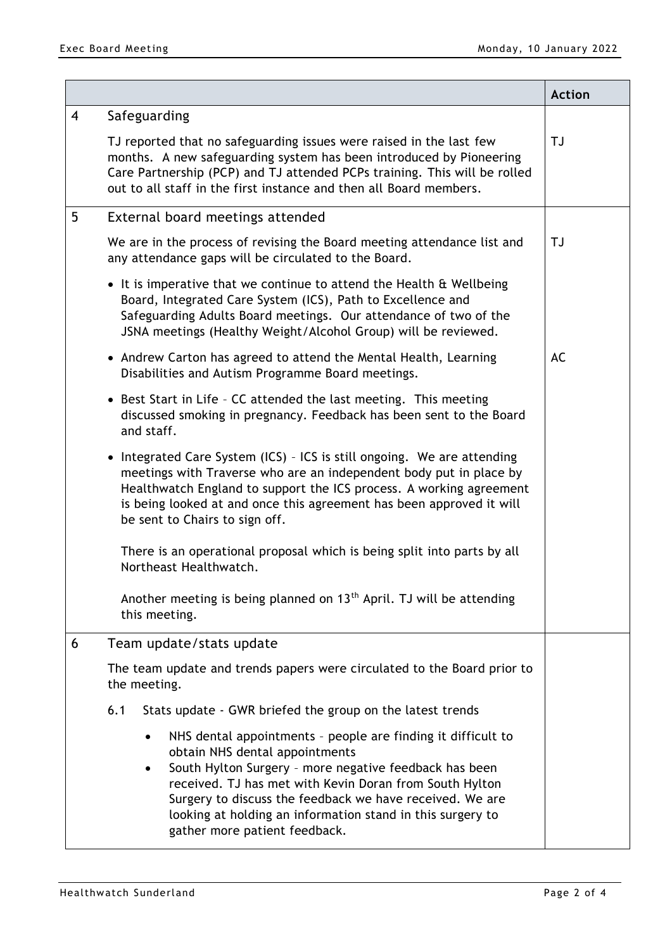|                |                                                                                                                                                                                                                                                                                                                                                                                                  | <b>Action</b> |
|----------------|--------------------------------------------------------------------------------------------------------------------------------------------------------------------------------------------------------------------------------------------------------------------------------------------------------------------------------------------------------------------------------------------------|---------------|
| $\overline{4}$ | Safeguarding                                                                                                                                                                                                                                                                                                                                                                                     |               |
|                | TJ reported that no safeguarding issues were raised in the last few<br>months. A new safeguarding system has been introduced by Pioneering<br>Care Partnership (PCP) and TJ attended PCPs training. This will be rolled<br>out to all staff in the first instance and then all Board members.                                                                                                    | <b>TJ</b>     |
| 5              | External board meetings attended                                                                                                                                                                                                                                                                                                                                                                 |               |
|                | We are in the process of revising the Board meeting attendance list and<br>any attendance gaps will be circulated to the Board.                                                                                                                                                                                                                                                                  | TJ            |
|                | • It is imperative that we continue to attend the Health & Wellbeing<br>Board, Integrated Care System (ICS), Path to Excellence and<br>Safeguarding Adults Board meetings. Our attendance of two of the<br>JSNA meetings (Healthy Weight/Alcohol Group) will be reviewed.                                                                                                                        |               |
|                | • Andrew Carton has agreed to attend the Mental Health, Learning<br>Disabilities and Autism Programme Board meetings.                                                                                                                                                                                                                                                                            | AC            |
|                | • Best Start in Life - CC attended the last meeting. This meeting<br>discussed smoking in pregnancy. Feedback has been sent to the Board<br>and staff.                                                                                                                                                                                                                                           |               |
|                | • Integrated Care System (ICS) - ICS is still ongoing. We are attending<br>meetings with Traverse who are an independent body put in place by<br>Healthwatch England to support the ICS process. A working agreement<br>is being looked at and once this agreement has been approved it will<br>be sent to Chairs to sign off.                                                                   |               |
|                | There is an operational proposal which is being split into parts by all<br>Northeast Healthwatch.                                                                                                                                                                                                                                                                                                |               |
|                | Another meeting is being planned on $13th$ April. TJ will be attending<br>this meeting.                                                                                                                                                                                                                                                                                                          |               |
| 6              | Team update/stats update                                                                                                                                                                                                                                                                                                                                                                         |               |
|                | The team update and trends papers were circulated to the Board prior to<br>the meeting.                                                                                                                                                                                                                                                                                                          |               |
|                | 6.1<br>Stats update - GWR briefed the group on the latest trends                                                                                                                                                                                                                                                                                                                                 |               |
|                | NHS dental appointments - people are finding it difficult to<br>$\bullet$<br>obtain NHS dental appointments<br>South Hylton Surgery - more negative feedback has been<br>٠<br>received. TJ has met with Kevin Doran from South Hylton<br>Surgery to discuss the feedback we have received. We are<br>looking at holding an information stand in this surgery to<br>gather more patient feedback. |               |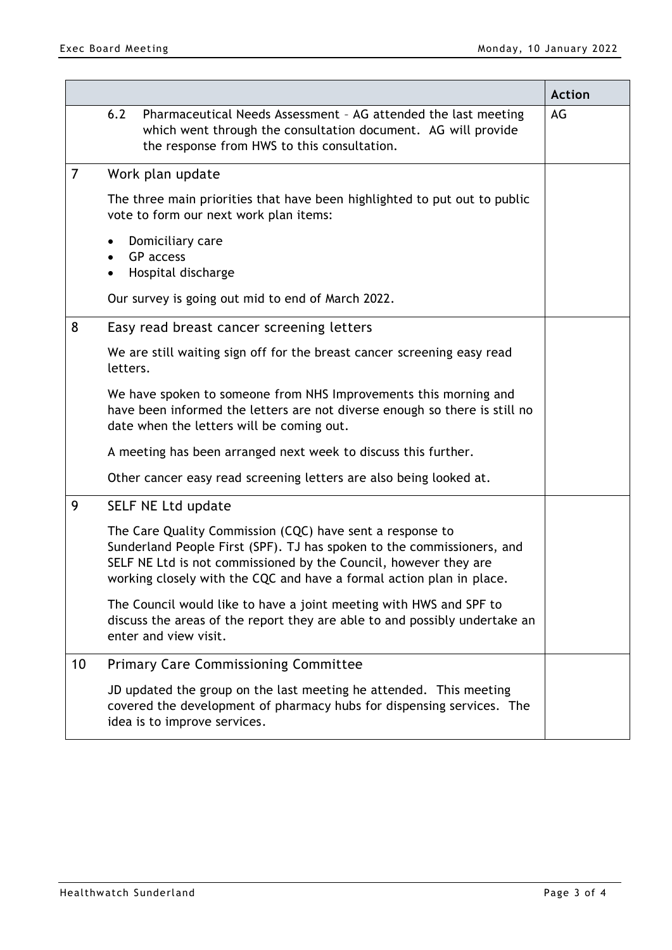|                |                                                                                                                                                                                                                                                                                 | <b>Action</b> |
|----------------|---------------------------------------------------------------------------------------------------------------------------------------------------------------------------------------------------------------------------------------------------------------------------------|---------------|
|                | 6.2<br>Pharmaceutical Needs Assessment - AG attended the last meeting<br>which went through the consultation document. AG will provide<br>the response from HWS to this consultation.                                                                                           | AG            |
| $\overline{7}$ | Work plan update                                                                                                                                                                                                                                                                |               |
|                | The three main priorities that have been highlighted to put out to public<br>vote to form our next work plan items:                                                                                                                                                             |               |
|                | Domiciliary care<br>$\bullet$<br>GP access<br>$\bullet$<br>Hospital discharge<br>$\bullet$                                                                                                                                                                                      |               |
|                | Our survey is going out mid to end of March 2022.                                                                                                                                                                                                                               |               |
| 8              | Easy read breast cancer screening letters                                                                                                                                                                                                                                       |               |
|                | We are still waiting sign off for the breast cancer screening easy read<br>letters.                                                                                                                                                                                             |               |
|                | We have spoken to someone from NHS Improvements this morning and<br>have been informed the letters are not diverse enough so there is still no<br>date when the letters will be coming out.                                                                                     |               |
|                | A meeting has been arranged next week to discuss this further.                                                                                                                                                                                                                  |               |
|                | Other cancer easy read screening letters are also being looked at.                                                                                                                                                                                                              |               |
| 9              | SELF NE Ltd update                                                                                                                                                                                                                                                              |               |
|                | The Care Quality Commission (CQC) have sent a response to<br>Sunderland People First (SPF). TJ has spoken to the commissioners, and<br>SELF NE Ltd is not commissioned by the Council, however they are<br>working closely with the CQC and have a formal action plan in place. |               |
|                | The Council would like to have a joint meeting with HWS and SPF to<br>discuss the areas of the report they are able to and possibly undertake an<br>enter and view visit.                                                                                                       |               |
| 10             | <b>Primary Care Commissioning Committee</b>                                                                                                                                                                                                                                     |               |
|                | JD updated the group on the last meeting he attended. This meeting<br>covered the development of pharmacy hubs for dispensing services. The<br>idea is to improve services.                                                                                                     |               |